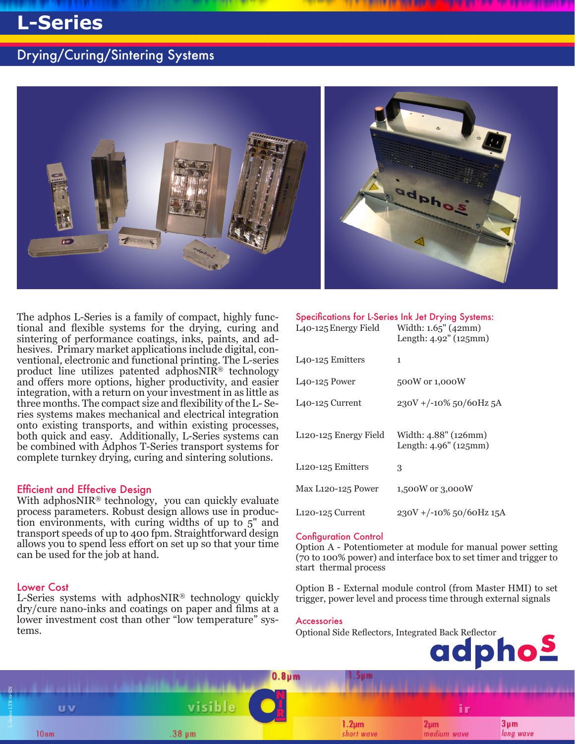# **L-Series**

### Drying/Curing/Sintering Systems



The adphos L-Series is a family of compact, highly functional and flexible systems for the drying, curing and sintering of performance coatings, inks, paints, and adhesives. Primary market applications include digital, conventional, electronic and functional printing. The L-series product line utilizes patented adphosNIR® technology and offers more options, higher productivity, and easier integration, with a return on your investment in as little as three months. The compact size and flexibility of the L- Series systems makes mechanical and electrical integration onto existing transports, and within existing processes, both quick and easy. Additionally, L-Series systems can be combined with Adphos T-Series transport systems for complete turnkey drying, curing and sintering solutions.

#### Efficient and Effective Design

With adphosNIR® technology, you can quickly evaluate process parameters. Robust design allows use in production environments, with curing widths of up to  $5$ " and transport speeds of up to 400 fpm. Straightforward design allows you to spend less effort on set up so that your time can be used for the job at hand.

#### Lower Cost

L-Series systems with adphosNIR<sup>®</sup> technology quickly dry/cure nano-inks and coatings on paper and films at a lower investment cost than other "low temperature" systems.

#### Specifications for L-Series Ink Jet Drying Systems:

| L <sub>40</sub> -125 Energy Field  | Width: $1.65''$ (42mm)<br>Length: $4.92$ " ( $125$ mm) |
|------------------------------------|--------------------------------------------------------|
| L <sub>4</sub> 0-125 Emitters      | 1                                                      |
| $L$ 40-125 Power                   | 500W or 1,000W                                         |
| L <sub>40</sub> -125 Current       | $230V + (-10\%50/60Hz5A$                               |
| L <sub>120</sub> -125 Energy Field | Width: 4.88" (126mm)<br>Length: 4.96" (125mm)          |
| L <sub>120</sub> -125 Emitters     | 3                                                      |
| Max L <sub>120</sub> -125 Power    | 1,500W or 3,000W                                       |
| L120-125 Current                   | 230V +/-10% 50/60Hz 15A                                |

#### Configuration Control

Option A - Potentiometer at module for manual power setting (70 to 100% power) and interface box to set timer and trigger to start thermal process

Option B - External module control (from Master HMI) to set trigger, power level and process time through external signals

#### Accessories

Optional Side Reflectors, Integrated Back Reflector